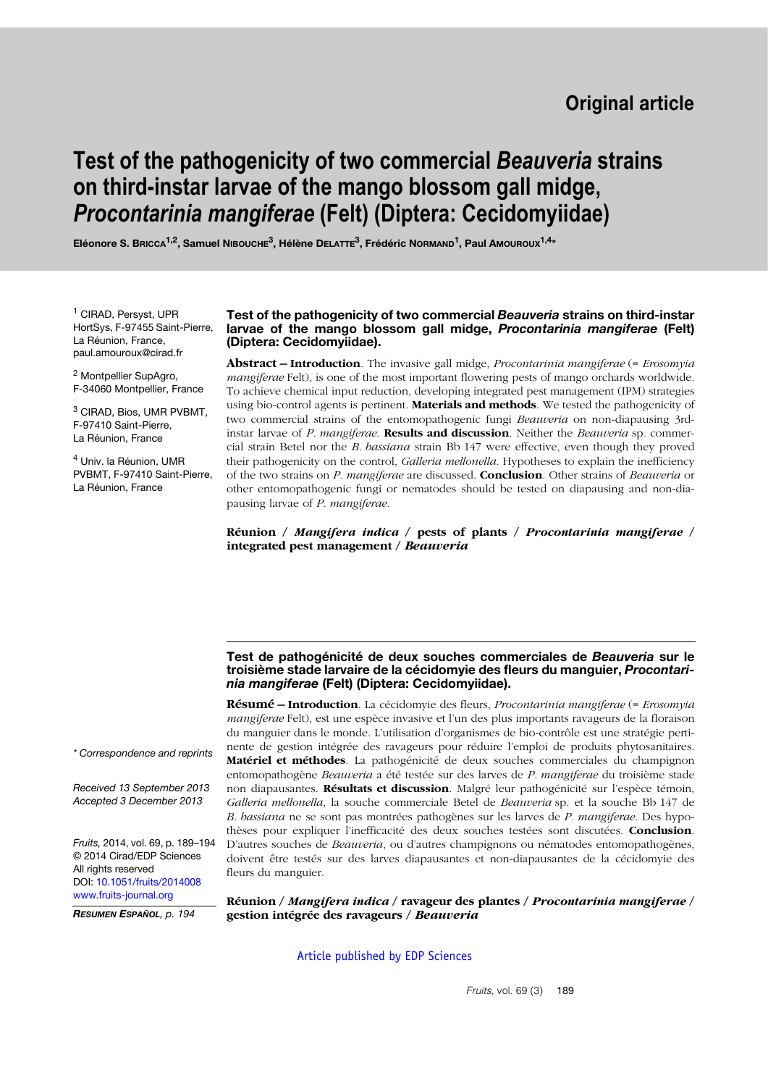# **Test of the pathogenicity of two commercial** *Beauveria* **strains on third-instar larvae of the mango blossom gall midge,**  *Procontarinia mangiferae* **(Felt) (Diptera: Cecidomyiidae)**

**Eléonore S. BRICCA1,2, Samuel NIBOUCHE3, Hélène DELATTE3, Frédéric NORMAND1, Paul AMOUROUX1,4\***

<sup>1</sup> CIRAD, Persyst, UPR HortSys, F-97455 Saint-Pierre, La Réunion, France, paul.amouroux@cirad.fr

<sup>2</sup> Montpellier SupAgro, F-34060 Montpellier, France

<sup>3</sup> CIRAD, Bios, UMR PVBMT, F-97410 Saint-Pierre, La Réunion, France

<sup>4</sup> Univ. la Réunion, UMR PVBMT, F-97410 Saint-Pierre, La Réunion, France

#### **Test of the pathogenicity of two commercial** *Beauveria* **strains on third-instar larvae of the mango blossom gall midge,** *Procontarinia mangiferae* **(Felt) (Diptera: Cecidomyiidae).**

**Abstract – Introduction**. The invasive gall midge, *Procontarinia mangiferae* (= *Erosomyia mangiferae* Felt), is one of the most important flowering pests of mango orchards worldwide. To achieve chemical input reduction, developing integrated pest management (IPM) strategies using bio-control agents is pertinent. **Materials and methods**. We tested the pathogenicity of two commercial strains of the entomopathogenic fungi *Beauveria* on non-diapausing 3rdinstar larvae of *P. mangiferae*. **Results and discussion**. Neither the *Beauveria* sp*.* commercial strain Betel nor the *B. bassiana* strain Bb 147 were effective, even though they proved their pathogenicity on the control, *Galleria mellonella*. Hypotheses to explain the inefficiency of the two strains on *P. mangiferae* are discussed. **Conclusion**. Other strains of *Beauveria* or other entomopathogenic fungi or nematodes should be tested on diapausing and non-diapausing larvae of *P. mangiferae*.

**Réunion /** *Mangifera indica* **/ pests of plants /** *Procontarinia mangiferae* **/ integrated pest management /** *Beauveria*

#### **Test de pathogénicité de deux souches commerciales de** *Beauveria* **sur le troisième stade larvaire de la cécidomyie des fleurs du manguier,** *Procontarinia mangiferae* **(Felt) (Diptera: Cecidomyiidae).**

**Résumé – Introduction**. La cécidomyie des fleurs, *Procontarinia mangiferae* (= *Erosomyia mangiferae* Felt), est une espèce invasive et l'un des plus importants ravageurs de la floraison du manguier dans le monde. L'utilisation d'organismes de bio-contrôle est une stratégie pertinente de gestion intégrée des ravageurs pour réduire l'emploi de produits phytosanitaires. **Matériel et méthodes**. La pathogénicité de deux souches commerciales du champignon entomopathogène *Beauveria* a été testée sur des larves de *P. mangiferae* du troisième stade non diapausantes. **Résultats et discussion**. Malgré leur pathogénicité sur l'espèce témoin, *Galleria mellonella*, la souche commerciale Betel de *Beauveria* sp*.* et la souche Bb 147 de *B. bassiana* ne se sont pas montrées pathogènes sur les larves de *P. mangiferae*. Des hypothèses pour expliquer l'inefficacité des deux souches testées sont discutées. **Conclusion**. D'autres souches de *Beauveria*, ou d'autres champignons ou nématodes entomopathogènes, doivent être testés sur des larves diapausantes et non-diapausantes de la cécidomyie des fleurs du manguier.

**Réunion /** *Mangifera indica* **/ ravageur des plantes /** *Procontarinia mangiferae* **/ gestion intégrée des ravageurs /** *Beauveria*

[Article published by EDP Sciences](http://publications.edpsciences.org)

*\* Correspondence and reprints*

*Received 13 September 2013 Accepted 3 December 2013*

*Fruits,* 2014, vol. 69, p. 189–194 © 2014 Cirad/EDP Sciences All rights reserved DOI: [10.1051/fruits/2014008](http://dx.doi.org/10.1051/fruits/2014008) [www.fruits-journal.org](http://dx.doi.org/10.1051/fruits/2014008)

*RESUMEN ESPAÑOL, p. 194*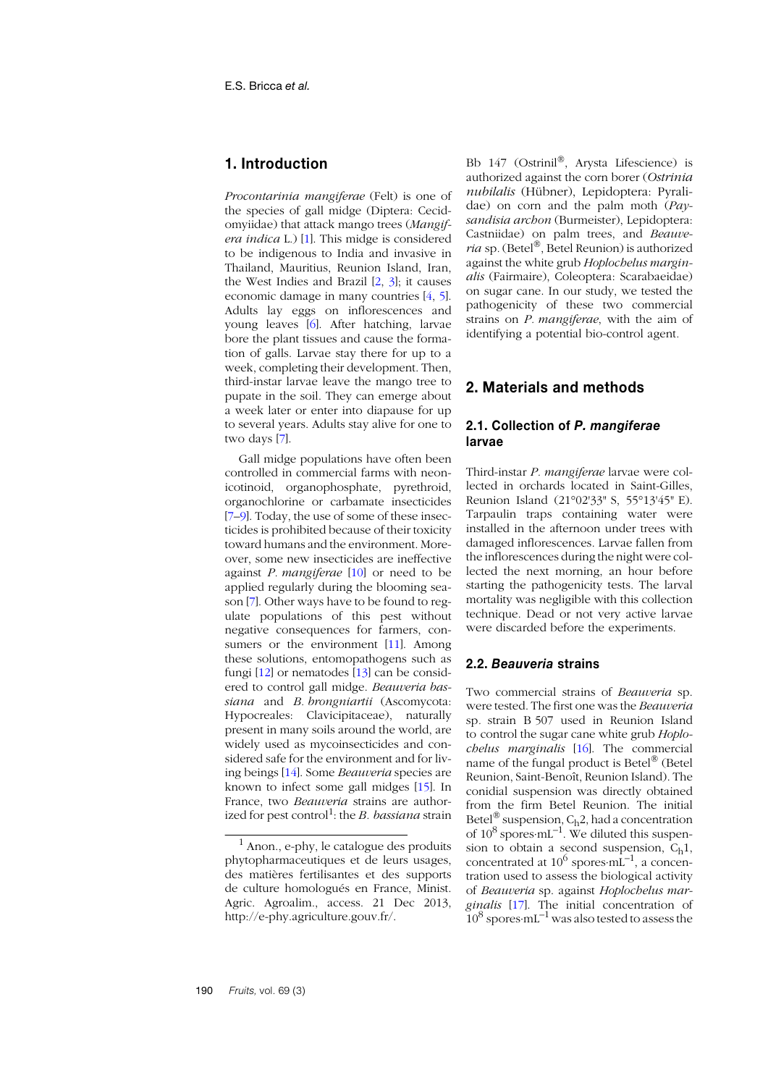# **1. Introduction**

*Procontarinia mangiferae* (Felt) is one of the species of gall midge (Diptera: Cecidomyiidae) that attack mango trees (*Mangifera indica* L.) [[1](#page-4-0)]. This midge is considered to be indigenous to India and invasive in Thailand, Mauritius, Reunion Island, Iran, the West Indies and Brazil [[2](#page-4-1), [3](#page-4-2)]; it causes economic damage in many countries [\[4](#page-4-3), [5](#page-4-4)]. Adults lay eggs on inflorescences and young leaves [\[6](#page-4-5)]. After hatching, larvae bore the plant tissues and cause the formation of galls. Larvae stay there for up to a week, completing their development. Then, third-instar larvae leave the mango tree to pupate in the soil. They can emerge about a week later or enter into diapause for up to several years. Adults stay alive for one to two days [[7](#page-4-6)].

Gall midge populations have often been controlled in commercial farms with neonicotinoid, organophosphate, pyrethroid, organochlorine or carbamate insecticides [[7](#page-4-6)[–9](#page-4-7)]. Today, the use of some of these insecticides is prohibited because of their toxicity toward humans and the environment. Moreover, some new insecticides are ineffective against *P. mangiferae* [1[0](#page-4-8)] or need to be applied regularly during the blooming season [\[7](#page-4-6)]. Other ways have to be found to regulate populations of this pest without negative consequences for farmers, con-sumers or the environment [[1](#page-4-9)1]. Among these solutions, entomopathogens such as fungi  $[12]$  $[12]$  $[12]$  or nematodes  $[13]$  $[13]$  $[13]$  can be considered to control gall midge. *Beauveria bassiana* and *B. brongniartii* (Ascomycota: Hypocreales: Clavicipitaceae), naturally present in many soils around the world, are widely used as mycoinsecticides and considered safe for the environment and for living beings [[14](#page-4-12)]. Some *Beauveria* species are known to infect some gall midges [[15](#page-4-13)]. In France, two *Beauveria* strains are authorized for pest control<sup>1</sup>: the *B. bassiana* strain Bb 147 (Ostrinil®, Arysta Lifescience) is authorized against the corn borer (*Ostrinia nubilalis* (Hübner), Lepidoptera: Pyralidae) on corn and the palm moth (*Paysandisia archon* (Burmeister), Lepidoptera: Castniidae) on palm trees, and *Beauveria* sp*.*(Betel®, Betel Reunion) is authorized against the white grub *Hoplochelus marginalis* (Fairmaire), Coleoptera: Scarabaeidae) on sugar cane. In our study, we tested the pathogenicity of these two commercial strains on *P. mangiferae*, with the aim of identifying a potential bio-control agent*.*

# **2. Materials and methods**

## **2.1. Collection of** *P. mangiferae* **larvae**

Third-instar *P. mangiferae* larvae were collected in orchards located in Saint-Gilles, Reunion Island (21°02'33" S, 55°13'45" E). Tarpaulin traps containing water were installed in the afternoon under trees with damaged inflorescences. Larvae fallen from the inflorescences during the night were collected the next morning, an hour before starting the pathogenicity tests. The larval mortality was negligible with this collection technique. Dead or not very active larvae were discarded before the experiments.

## **2.2.** *Beauveria* **strains**

Two commercial strains of *Beauveria* sp. were tested. The first one was the *Beauveria* sp*.* strain B 507 used in Reunion Island to control the sugar cane white grub *Hoplochelus marginalis* [1[6](#page-4-14)]. The commercial name of the fungal product is Betel® (Betel Reunion, Saint-Benoît, Reunion Island). The conidial suspension was directly obtained from the firm Betel Reunion. The initial Betel<sup>®</sup> suspension,  $C_h2$ , had a concentration of  $10^8$  spores⋅mL<sup>-1</sup>. We diluted this suspension to obtain a second suspension,  $C_h1$ , concentrated at  $10^6$  spores⋅mL<sup>-1</sup>, a concentration used to assess the biological activity of *Beauveria* sp. against *Hoplochelus marginalis* [1[7](#page-4-15)]. The initial concentration of  $10^8$  spores $\cdot$ mL<sup>-1</sup> was also tested to assess the

 $<sup>1</sup>$  Anon., e-phy, le catalogue des produits</sup> phytopharmaceutiques et de leurs usages, des matières fertilisantes et des supports de culture homologués en France, Minist. Agric. Agroalim., access. 21 Dec 2013, http://e-phy.agriculture.gouv.fr/.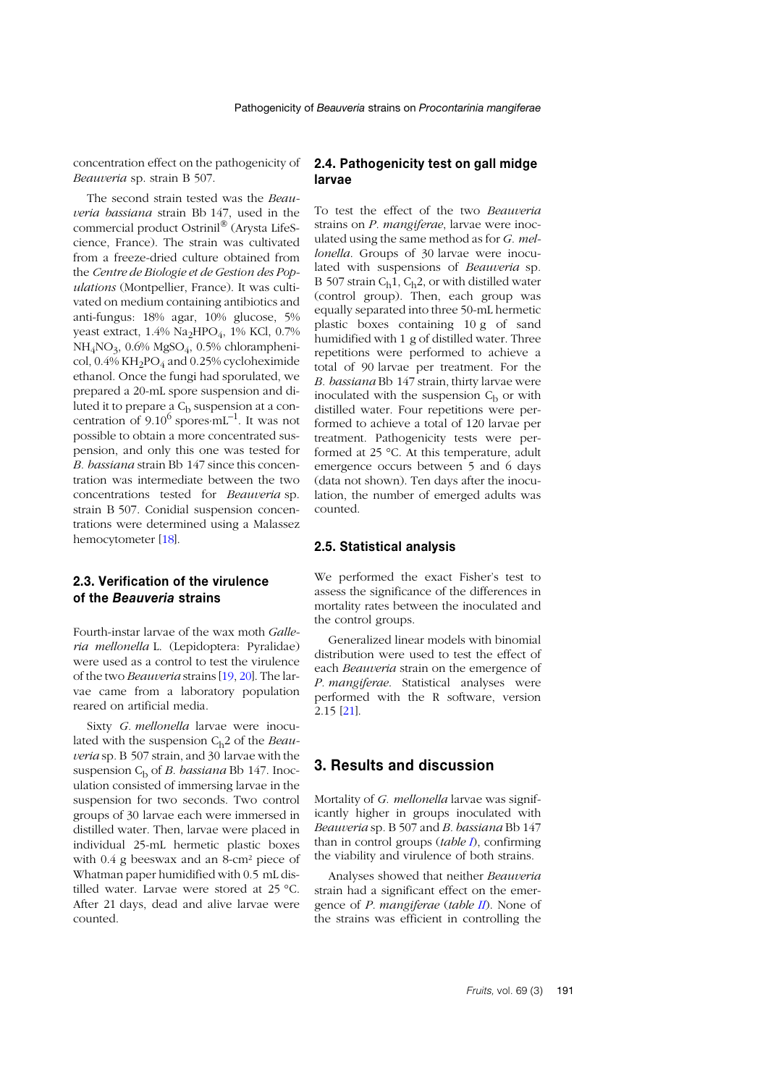concentration effect on the pathogenicity of *Beauveria* sp. strain B 507.

The second strain tested was the *Beauveria bassiana* strain Bb 147, used in the commercial product Ostrinil® (Arysta LifeScience, France). The strain was cultivated from a freeze-dried culture obtained from the *Centre de Biologie et de Gestion des Populations* (Montpellier, France). It was cultivated on medium containing antibiotics and anti-fungus: 18% agar, 10% glucose, 5% yeast extract, 1.4% Na<sub>2</sub>HPO<sub>4</sub>, 1% KCl, 0.7% NH4NO3, 0.6% MgSO4, 0.5% chloramphenicol,  $0.4\%$  KH<sub>2</sub>PO<sub>4</sub> and  $0.25\%$  cycloheximide ethanol. Once the fungi had sporulated, we prepared a 20-mL spore suspension and diluted it to prepare a  $C<sub>b</sub>$  suspension at a concentration of  $9.10^6$  spores⋅mL<sup>-1</sup>. It was not possible to obtain a more concentrated suspension, and only this one was tested for *B. bassiana* strain Bb 147 since this concentration was intermediate between the two concentrations tested for *Beauveria* sp. strain B 507. Conidial suspension concentrations were determined using a Malassez hemocytometer [[18](#page-5-0)].

# **2.3. Verification of the virulence of the** *Beauveria* **strains**

Fourth-instar larvae of the wax moth *Galleria mellonella* L. (Lepidoptera: Pyralidae) were used as a control to test the virulence of the two *Beauveria* strains [1[9](#page-5-1), [20](#page-5-2)]. The larvae came from a laboratory population reared on artificial media.

Sixty *G. mellonella* larvae were inoculated with the suspension C<sub>h</sub>2 of the *Beauveria* sp*.* B 507 strain, and 30 larvae with the suspension Cb of *B. bassiana* Bb 147. Inoculation consisted of immersing larvae in the suspension for two seconds. Two control groups of 30 larvae each were immersed in distilled water. Then, larvae were placed in individual 25-mL hermetic plastic boxes with 0.4 g beeswax and an 8-cm² piece of Whatman paper humidified with 0.5 mL distilled water. Larvae were stored at 25 °C. After 21 days, dead and alive larvae were counted.

## **2.4. Pathogenicity test on gall midge larvae**

To test the effect of the two *Beauveria* strains on *P. mangiferae*, larvae were inoculated using the same method as for *G. mellonella*. Groups of 30 larvae were inoculated with suspensions of *Beauveria* sp*.* B 507 strain  $C_h1$ ,  $C_h2$ , or with distilled water (control group). Then, each group was equally separated into three 50-mL hermetic plastic boxes containing 10 g of sand humidified with 1 g of distilled water. Three repetitions were performed to achieve a total of 90 larvae per treatment. For the *B. bassiana* Bb 147 strain, thirty larvae were inoculated with the suspension  $C_b$  or with distilled water. Four repetitions were performed to achieve a total of 120 larvae per treatment. Pathogenicity tests were performed at 25 °C. At this temperature, adult emergence occurs between 5 and 6 days (data not shown). Ten days after the inoculation, the number of emerged adults was counted.

## **2.5. Statistical analysis**

We performed the exact Fisher's test to assess the significance of the differences in mortality rates between the inoculated and the control groups.

Generalized linear models with binomial distribution were used to test the effect of each *Beauveria* strain on the emergence of *P. mangiferae*. Statistical analyses were performed with the R software, version 2.15 [2[1](#page-5-3)].

## **3. Results and discussion**

Mortality of *G. mellonella* larvae was significantly higher in groups inoculated with *Beauveria* sp*.* B 507 and *B. bassiana* Bb 147 than in control groups (*table [I](#page-3-0)*), confirming the viability and virulence of both strains.

Analyses showed that neither *Beauveria* strain had a significant effect on the emergence of *P. mangiferae* (*table [II](#page-3-1)*). None of the strains was efficient in controlling the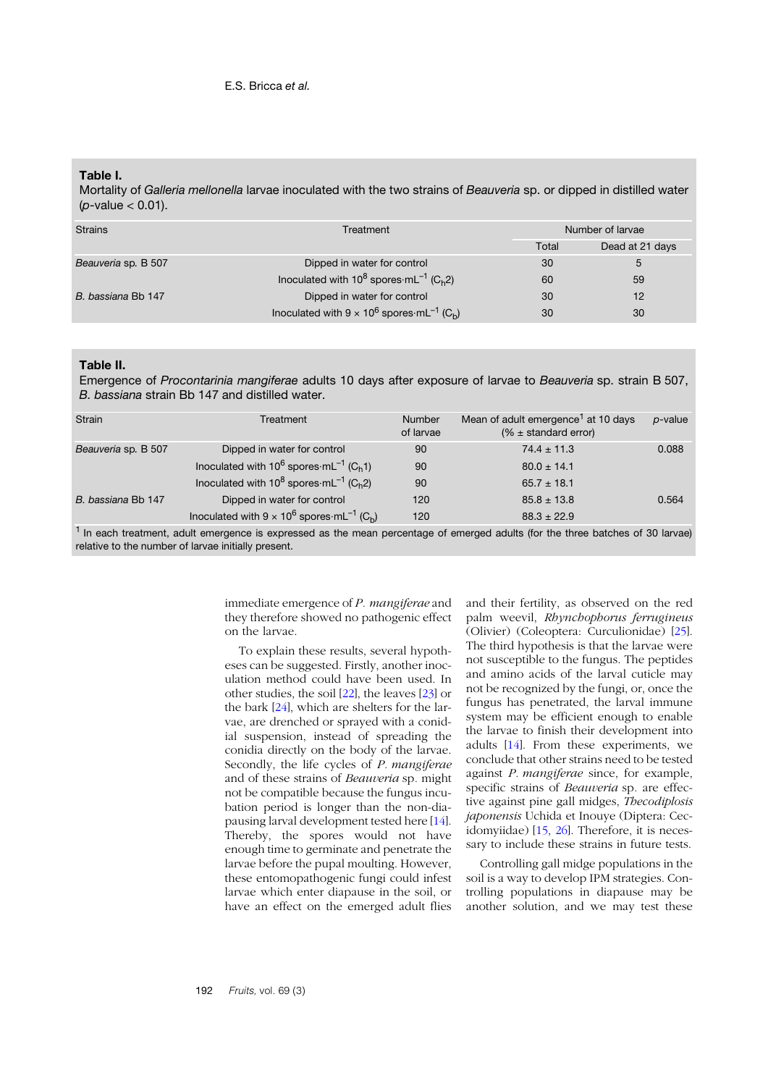### <span id="page-3-0"></span>**Table I.**

Mortality of *Galleria mellonella* larvae inoculated with the two strains of *Beauveria* sp. or dipped in distilled water (*p*-value < 0.01).

| <b>Strains</b>      | Treatment                                                                 |       | Number of larvae |  |
|---------------------|---------------------------------------------------------------------------|-------|------------------|--|
|                     |                                                                           | Total | Dead at 21 days  |  |
| Beauveria sp. B 507 | Dipped in water for control                                               | 30    | 5                |  |
|                     | Inoculated with $10^8$ spores mL <sup>-1</sup> (C <sub>h</sub> 2)         | 60    | 59               |  |
| B. bassiana Bb 147  | Dipped in water for control                                               | 30    | 12               |  |
|                     | Inoculated with $9 \times 10^6$ spores mL <sup>-1</sup> (C <sub>h</sub> ) | 30    | 30               |  |

#### <span id="page-3-1"></span>**Table II.**

Emergence of *Procontarinia mangiferae* adults 10 days after exposure of larvae to *Beauveria* sp. strain B 507, *B. bassiana* strain Bb 147 and distilled water.

| <b>Strain</b>       | Treatment                                                                         | <b>Number</b><br>of larvae | Mean of adult emergence <sup>1</sup> at 10 days<br>$% \pm$ standard error) | p-value |
|---------------------|-----------------------------------------------------------------------------------|----------------------------|----------------------------------------------------------------------------|---------|
| Beauveria sp. B 507 | Dipped in water for control                                                       | 90                         | $74.4 \pm 11.3$                                                            | 0.088   |
|                     | Inoculated with $10^6$ spores $\cdot$ mL <sup>-1</sup> (C <sub>h</sub> 1)         | 90                         | $80.0 \pm 14.1$                                                            |         |
|                     | Inoculated with $10^8$ spores $\cdot$ mL <sup>-1</sup> (C <sub>h</sub> 2)         | 90                         | $65.7 \pm 18.1$                                                            |         |
| B. bassiana Bb 147  | Dipped in water for control                                                       | 120                        | $85.8 \pm 13.8$                                                            | 0.564   |
|                     | Inoculated with $9 \times 10^6$ spores $\cdot$ mL <sup>-1</sup> (C <sub>b</sub> ) | 120                        | $88.3 \pm 22.9$                                                            |         |

 $<sup>1</sup>$  In each treatment, adult emergence is expressed as the mean percentage of emerged adults (for the three batches of 30 larvae)</sup> relative to the number of larvae initially present.

> immediate emergence of *P. mangiferae* and they therefore showed no pathogenic effect on the larvae.

> To explain these results, several hypotheses can be suggested. Firstly, another inoculation method could have been used. In other studies, the soil [[22](#page-5-4)], the leaves [2[3](#page-5-5)] or the bark [2[4](#page-5-6)], which are shelters for the larvae, are drenched or sprayed with a conidial suspension, instead of spreading the conidia directly on the body of the larvae. Secondly, the life cycles of *P. mangiferae* and of these strains of *Beauveria* sp*.* might not be compatible because the fungus incubation period is longer than the non-diapausing larval development tested here [1[4](#page-4-12)]. Thereby, the spores would not have enough time to germinate and penetrate the larvae before the pupal moulting. However, these entomopathogenic fungi could infest larvae which enter diapause in the soil, or have an effect on the emerged adult flies

and their fertility, as observed on the red palm weevil, *Rhynchophorus ferrugineus* (Olivier) (Coleoptera: Curculionidae) [2[5](#page-5-7)]. The third hypothesis is that the larvae were not susceptible to the fungus. The peptides and amino acids of the larval cuticle may not be recognized by the fungi, or, once the fungus has penetrated, the larval immune system may be efficient enough to enable the larvae to finish their development into adults [[14](#page-4-12)]. From these experiments, we conclude that other strains need to be tested against *P. mangiferae* since, for example, specific strains of *Beauveria* sp*.* are effective against pine gall midges, *Thecodiplosis japonensis* Uchida et Inouye (Diptera: Cecidomyiidae) [[15](#page-4-13), [26](#page-5-8)]. Therefore, it is necessary to include these strains in future tests.

Controlling gall midge populations in the soil is a way to develop IPM strategies. Controlling populations in diapause may be another solution, and we may test these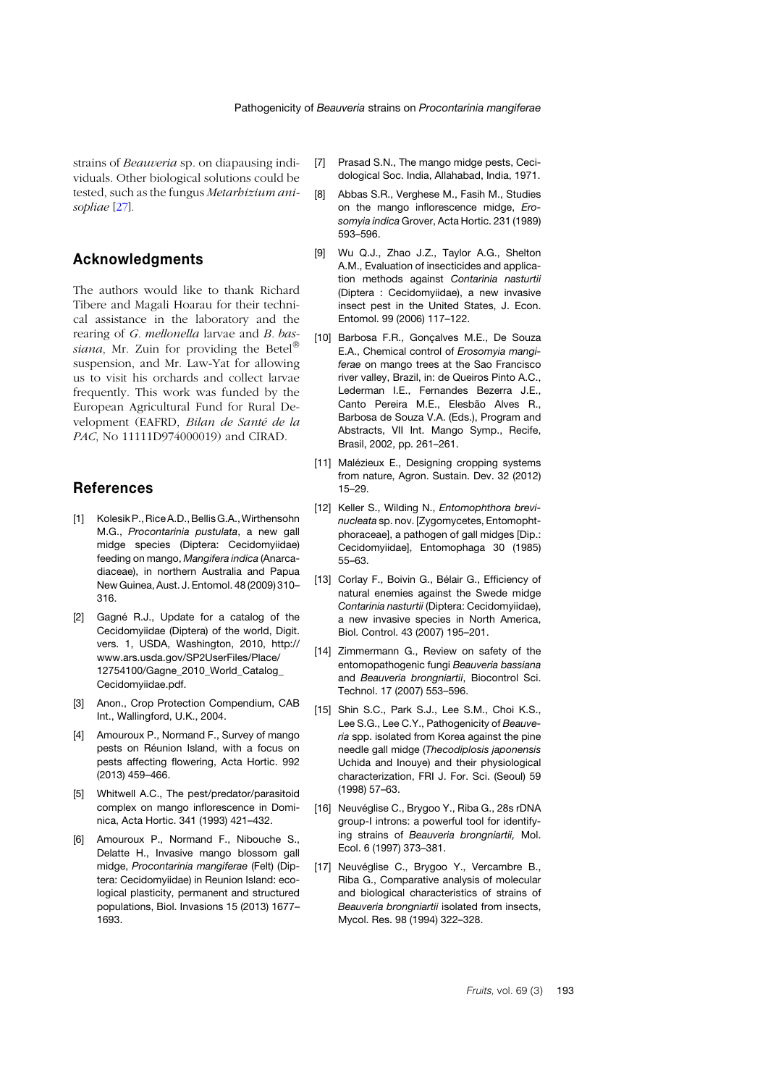strains of *Beauveria* sp. on diapausing individuals. Other biological solutions could be tested, such as the fungus *Metarhizium anisopliae* [2[7](#page-5-9)]*.*

## **Acknowledgments**

The authors would like to thank Richard Tibere and Magali Hoarau for their technical assistance in the laboratory and the rearing of *G. mellonella* larvae and *B. bassiana*, Mr. Zuin for providing the Betel® suspension, and Mr. Law-Yat for allowing us to visit his orchards and collect larvae frequently. This work was funded by the European Agricultural Fund for Rural Development (EAFRD, *Bilan de Santé de la PAC*, No 11111D974000019) and CIRAD.

## **References**

- <span id="page-4-0"></span>[1] Kolesik P., Rice A.D., Bellis G.A., Wirthensohn M.G., *Procontarinia pustulata*, a new gall midge species (Diptera: Cecidomyiidae) feeding on mango, *Mangifera indica* (Anarcadiaceae), in northern Australia and Papua New Guinea, Aust. J. Entomol. 48 (2009) 310– 316.
- <span id="page-4-1"></span>[2] Gagné R.J., Update for a catalog of the Cecidomyiidae (Diptera) of the world, Digit. vers. 1, USDA, Washington, 2010, http:// www.ars.usda.gov/SP2UserFiles/Place/ 12754100/Gagne\_2010\_World\_Catalog\_ Cecidomyiidae.pdf.
- <span id="page-4-2"></span>[3] Anon., Crop Protection Compendium, CAB Int., Wallingford, U.K., 2004.
- <span id="page-4-3"></span>[4] Amouroux P., Normand F., Survey of mango pests on Réunion Island, with a focus on pests affecting flowering, Acta Hortic. 992 (2013) 459–466.
- <span id="page-4-4"></span>[5] Whitwell A.C., The pest/predator/parasitoid complex on mango inflorescence in Dominica, Acta Hortic. 341 (1993) 421–432.
- <span id="page-4-5"></span>[6] Amouroux P., Normand F., Nibouche S., Delatte H., Invasive mango blossom gall midge, *Procontarinia mangiferae* (Felt) (Diptera: Cecidomyiidae) in Reunion Island: ecological plasticity, permanent and structured populations, Biol. Invasions 15 (2013) 1677– 1693.
- <span id="page-4-6"></span>[7] Prasad S.N., The mango midge pests, Cecidological Soc. India, Allahabad, India, 1971.
- [8] Abbas S.R., Verghese M., Fasih M., Studies on the mango inflorescence midge, *Erosomyia indica* Grover, Acta Hortic. 231 (1989) 593–596.
- <span id="page-4-7"></span>[9] Wu Q.J., Zhao J.Z., Taylor A.G., Shelton A.M., Evaluation of insecticides and application methods against *Contarinia nasturtii* (Diptera : Cecidomyiidae), a new invasive insect pest in the United States, J. Econ. Entomol. 99 (2006) 117–122.
- <span id="page-4-8"></span>[10] Barbosa F.R., Gonçalves M.E., De Souza E.A., Chemical control of *Erosomyia mangiferae* on mango trees at the Sao Francisco river valley, Brazil, in: de Queiros Pinto A.C., Lederman I.E., Fernandes Bezerra J.E., Canto Pereira M.E., Elesbão Alves R., Barbosa de Souza V.A. (Eds.), Program and Abstracts, VII Int. Mango Symp., Recife, Brasil, 2002, pp. 261–261.
- <span id="page-4-9"></span>[11] Malézieux E., Designing cropping systems from nature, Agron. Sustain. Dev. 32 (2012) 15–29.
- <span id="page-4-10"></span>[12] Keller S., Wilding N., *Entomophthora brevinucleata* sp. nov. [Zygomycetes, Entomophtphoraceae], a pathogen of gall midges [Dip.: Cecidomyiidae], Entomophaga 30 (1985) 55–63.
- <span id="page-4-11"></span>[13] Corlay F., Boivin G., Bélair G., Efficiency of natural enemies against the Swede midge *Contarinia nasturtii* (Diptera: Cecidomyiidae), a new invasive species in North America, Biol. Control. 43 (2007) 195–201.
- <span id="page-4-12"></span>[14] Zimmermann G., Review on safety of the entomopathogenic fungi *Beauveria bassiana* and *Beauveria brongniartii*, Biocontrol Sci. Technol. 17 (2007) 553–596.
- <span id="page-4-13"></span>[15] Shin S.C., Park S.J., Lee S.M., Choi K.S., Lee S.G., Lee C.Y., Pathogenicity of *Beauveria* spp. isolated from Korea against the pine needle gall midge (*Thecodiplosis japonensis* Uchida and Inouye) and their physiological characterization, FRI J. For. Sci. (Seoul) 59 (1998) 57–63.
- <span id="page-4-14"></span>[16] Neuvéglise C., Brygoo Y., Riba G., 28s rDNA group-I introns: a powerful tool for identifying strains of *Beauveria brongniartii,* Mol. Ecol. 6 (1997) 373–381.
- <span id="page-4-15"></span>[17] Neuvéglise C., Brygoo Y., Vercambre B., Riba G., Comparative analysis of molecular and biological characteristics of strains of *Beauveria brongniartii* isolated from insects, Mycol. Res. 98 (1994) 322–328.